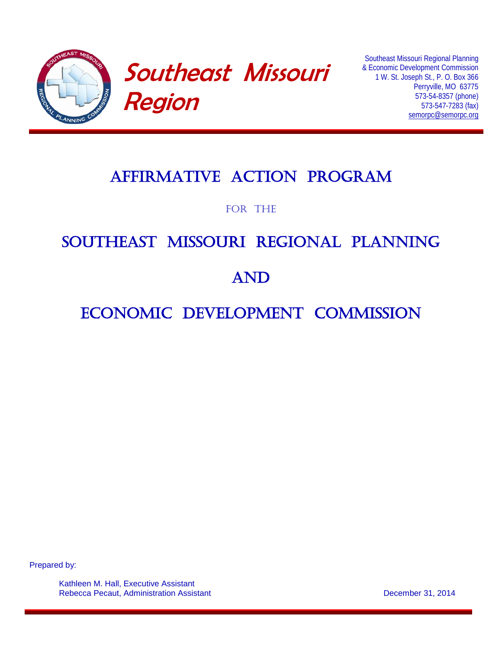

# Southeast Missouri Region

Southeast Missouri Regional Planning & Economic Development Commission 1 W. St. Joseph St., P. O. Box 366 Perryville, MO 63775 573-54-8357 (phone) 573-547-7283 (fax) [semorpc@semorpc.org](mailto:semorpc@semorpc.org)

## Affirmative ACTION PROGRAM

FOR THE

# SOUTHEAST MISSOURI REGIONAL PLANNING

## AND

### ECONOMIC DEVELOPMENT COMMISSION

Prepared by:

Kathleen M. Hall, Executive Assistant Rebecca Pecaut, Administration Assistant December 31, 2014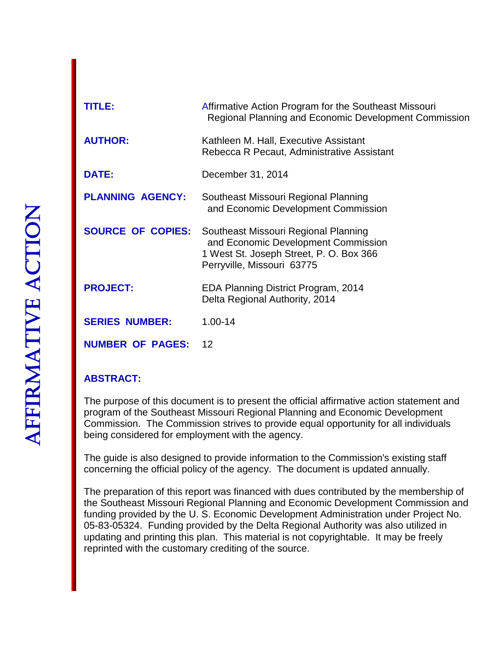$\mathbf{I}$ 

| <b>TITLE:</b>            | Affirmative Action Program for the Southeast Missouri<br><b>Regional Planning and Economic Development Commission</b>                                |
|--------------------------|------------------------------------------------------------------------------------------------------------------------------------------------------|
| <b>AUTHOR:</b>           | Kathleen M. Hall, Executive Assistant<br>Rebecca R Pecaut, Administrative Assistant                                                                  |
| <b>DATE:</b>             | December 31, 2014                                                                                                                                    |
| <b>PLANNING AGENCY:</b>  | Southeast Missouri Regional Planning<br>and Economic Development Commission                                                                          |
| <b>SOURCE OF COPIES:</b> | Southeast Missouri Regional Planning<br>and Economic Development Commission<br>1 West St. Joseph Street, P. O. Box 366<br>Perryville, Missouri 63775 |
| <b>PROJECT:</b>          | EDA Planning District Program, 2014<br>Delta Regional Authority, 2014                                                                                |
| <b>SERIES NUMBER:</b>    | $1.00 - 14$                                                                                                                                          |
| <b>NUMBER OF PAGES:</b>  | $\overline{12}$                                                                                                                                      |

### **ABSTRACT:**

The purpose of this document is to present the official affirmative action statement and program of the Southeast Missouri Regional Planning and Economic Development Commission. The Commission strives to provide equal opportunity for all individuals being considered for employment with the agency.

The guide is also designed to provide information to the Commission's existing staff concerning the official policy of the agency. The document is updated annually.

The preparation of this report was financed with dues contributed by the membership of the Southeast Missouri Regional Planning and Economic Development Commission and funding provided by the U. S. Economic Development Administration under Project No. 05-83-05324. Funding provided by the Delta Regional Authority was also utilized in updating and printing this plan. This material is not copyrightable. It may be freely reprinted with the customary crediting of the source.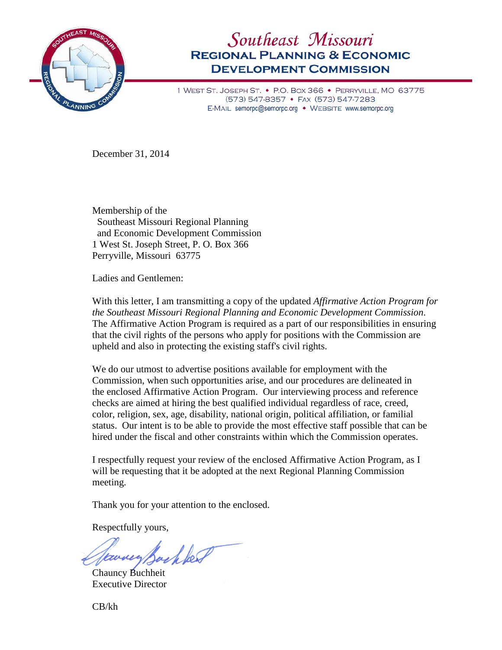

### Southeast Missouri **REGIONAL PLANNING & ECONOMIC DEVELOPMENT COMMISSION**

1 WEST ST. JOSEPH ST. • P.O. BOX 366 • PERRYVILLE, MO 63775 (573) 547-8357 • FAX (573) 547-7283 E-MAIL semorpc@semorpc.org • WEBSITE www.semorpc.org

December 31, 2014

Membership of the Southeast Missouri Regional Planning and Economic Development Commission 1 West St. Joseph Street, P. O. Box 366 Perryville, Missouri 63775

Ladies and Gentlemen:

With this letter, I am transmitting a copy of the updated *Affirmative Action Program for the Southeast Missouri Regional Planning and Economic Development Commission*. The Affirmative Action Program is required as a part of our responsibilities in ensuring that the civil rights of the persons who apply for positions with the Commission are upheld and also in protecting the existing staff's civil rights.

We do our utmost to advertise positions available for employment with the Commission, when such opportunities arise, and our procedures are delineated in the enclosed Affirmative Action Program. Our interviewing process and reference checks are aimed at hiring the best qualified individual regardless of race, creed, color, religion, sex, age, disability, national origin, political affiliation, or familial status. Our intent is to be able to provide the most effective staff possible that can be hired under the fiscal and other constraints within which the Commission operates.

I respectfully request your review of the enclosed Affirmative Action Program, as I will be requesting that it be adopted at the next Regional Planning Commission meeting.

Thank you for your attention to the enclosed.

Respectfully yours,

Earney Backber

Chauncy Buchheit Executive Director

CB/kh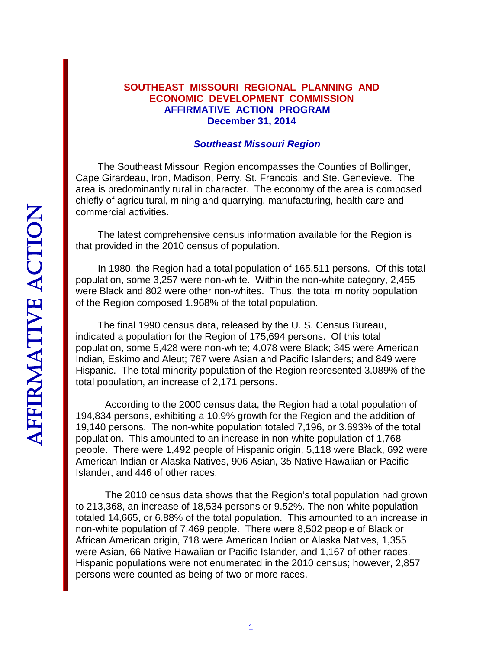#### **SOUTHEAST MISSOURI REGIONAL PLANNING AND ECONOMIC DEVELOPMENT COMMISSION AFFIRMATIVE ACTION PROGRAM December 31, 2014**

#### *Southeast Missouri Region*

The Southeast Missouri Region encompasses the Counties of Bollinger, Cape Girardeau, Iron, Madison, Perry, St. Francois, and Ste. Genevieve. The area is predominantly rural in character. The economy of the area is composed chiefly of agricultural, mining and quarrying, manufacturing, health care and commercial activities.

The latest comprehensive census information available for the Region is that provided in the 2010 census of population.

In 1980, the Region had a total population of 165,511 persons. Of this total population, some 3,257 were non-white. Within the non-white category, 2,455 were Black and 802 were other non-whites. Thus, the total minority population of the Region composed 1.968% of the total population.

The final 1990 census data, released by the U. S. Census Bureau, indicated a population for the Region of 175,694 persons. Of this total population, some 5,428 were non-white; 4,078 were Black; 345 were American Indian, Eskimo and Aleut; 767 were Asian and Pacific Islanders; and 849 were Hispanic. The total minority population of the Region represented 3.089% of the total population, an increase of 2,171 persons.

According to the 2000 census data, the Region had a total population of 194,834 persons, exhibiting a 10.9% growth for the Region and the addition of 19,140 persons. The non-white population totaled 7,196, or 3.693% of the total population. This amounted to an increase in non-white population of 1,768 people. There were 1,492 people of Hispanic origin, 5,118 were Black, 692 were American Indian or Alaska Natives, 906 Asian, 35 Native Hawaiian or Pacific Islander, and 446 of other races.

The 2010 census data shows that the Region's total population had grown to 213,368, an increase of 18,534 persons or 9.52%. The non-white population totaled 14,665, or 6.88% of the total population. This amounted to an increase in non-white population of 7,469 people. There were 8,502 people of Black or African American origin, 718 were American Indian or Alaska Natives, 1,355 were Asian, 66 Native Hawaiian or Pacific Islander, and 1,167 of other races. Hispanic populations were not enumerated in the 2010 census; however, 2,857 persons were counted as being of two or more races.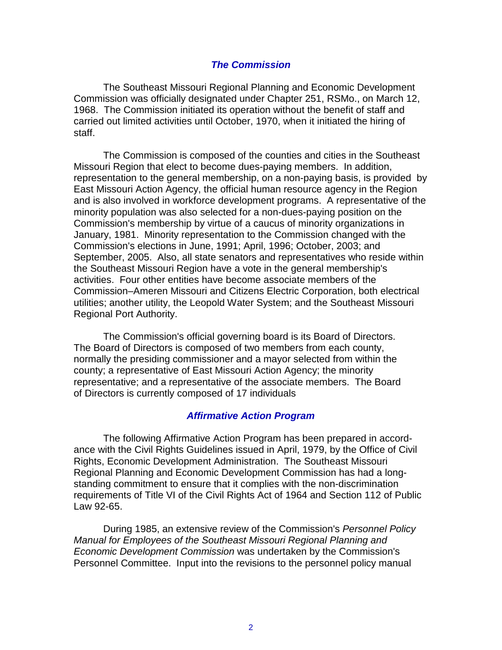#### *The Commission*

The Southeast Missouri Regional Planning and Economic Development Commission was officially designated under Chapter 251, RSMo., on March 12, 1968. The Commission initiated its operation without the benefit of staff and carried out limited activities until October, 1970, when it initiated the hiring of staff.

The Commission is composed of the counties and cities in the Southeast Missouri Region that elect to become dues-paying members. In addition, representation to the general membership, on a non-paying basis, is provided by East Missouri Action Agency, the official human resource agency in the Region and is also involved in workforce development programs. A representative of the minority population was also selected for a non-dues-paying position on the Commission's membership by virtue of a caucus of minority organizations in January, 1981. Minority representation to the Commission changed with the Commission's elections in June, 1991; April, 1996; October, 2003; and September, 2005. Also, all state senators and representatives who reside within the Southeast Missouri Region have a vote in the general membership's activities. Four other entities have become associate members of the Commission–Ameren Missouri and Citizens Electric Corporation, both electrical utilities; another utility, the Leopold Water System; and the Southeast Missouri Regional Port Authority.

The Commission's official governing board is its Board of Directors. The Board of Directors is composed of two members from each county, normally the presiding commissioner and a mayor selected from within the county; a representative of East Missouri Action Agency; the minority representative; and a representative of the associate members. The Board of Directors is currently composed of 17 individuals

#### *Affirmative Action Program*

The following Affirmative Action Program has been prepared in accordance with the Civil Rights Guidelines issued in April, 1979, by the Office of Civil Rights, Economic Development Administration. The Southeast Missouri Regional Planning and Economic Development Commission has had a longstanding commitment to ensure that it complies with the non-discrimination requirements of Title VI of the Civil Rights Act of 1964 and Section 112 of Public Law 92-65.

During 1985, an extensive review of the Commission's *Personnel Policy Manual for Employees of the Southeast Missouri Regional Planning and Economic Development Commission* was undertaken by the Commission's Personnel Committee. Input into the revisions to the personnel policy manual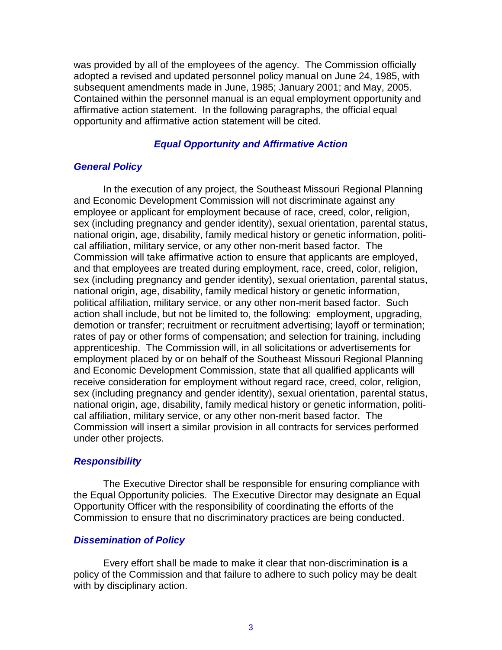was provided by all of the employees of the agency. The Commission officially adopted a revised and updated personnel policy manual on June 24, 1985, with subsequent amendments made in June, 1985; January 2001; and May, 2005. Contained within the personnel manual is an equal employment opportunity and affirmative action statement. In the following paragraphs, the official equal opportunity and affirmative action statement will be cited.

#### *Equal Opportunity and Affirmative Action*

#### *General Policy*

In the execution of any project, the Southeast Missouri Regional Planning and Economic Development Commission will not discriminate against any employee or applicant for employment because of race, creed, color, religion, sex (including pregnancy and gender identity), sexual orientation, parental status, national origin, age, disability, family medical history or genetic information, political affiliation, military service, or any other non-merit based factor. The Commission will take affirmative action to ensure that applicants are employed, and that employees are treated during employment, race, creed, color, religion, sex (including pregnancy and gender identity), sexual orientation, parental status, national origin, age, disability, family medical history or genetic information, political affiliation, military service, or any other non-merit based factor. Such action shall include, but not be limited to, the following: employment, upgrading, demotion or transfer; recruitment or recruitment advertising; layoff or termination; rates of pay or other forms of compensation; and selection for training, including apprenticeship. The Commission will, in all solicitations or advertisements for employment placed by or on behalf of the Southeast Missouri Regional Planning and Economic Development Commission, state that all qualified applicants will receive consideration for employment without regard race, creed, color, religion, sex (including pregnancy and gender identity), sexual orientation, parental status, national origin, age, disability, family medical history or genetic information, political affiliation, military service, or any other non-merit based factor. The Commission will insert a similar provision in all contracts for services performed under other projects.

#### *Responsibility*

The Executive Director shall be responsible for ensuring compliance with the Equal Opportunity policies. The Executive Director may designate an Equal Opportunity Officer with the responsibility of coordinating the efforts of the Commission to ensure that no discriminatory practices are being conducted.

#### *Dissemination of Policy*

Every effort shall be made to make it clear that non-discrimination **is** a policy of the Commission and that failure to adhere to such policy may be dealt with by disciplinary action.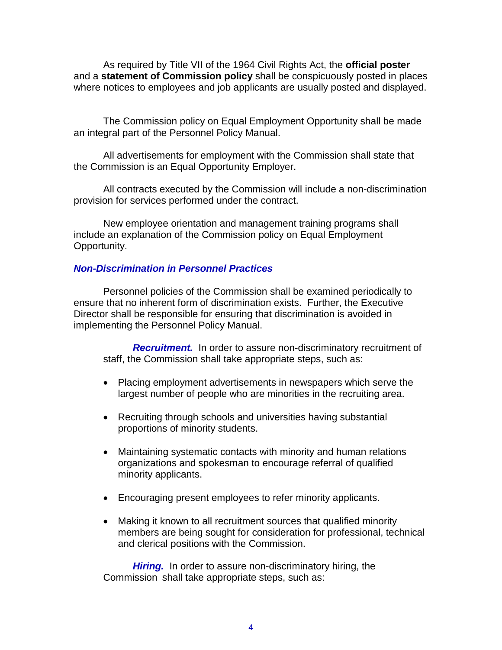As required by Title VII of the 1964 Civil Rights Act, the **official poster** and a **statement of Commission policy** shall be conspicuously posted in places where notices to employees and job applicants are usually posted and displayed.

The Commission policy on Equal Employment Opportunity shall be made an integral part of the Personnel Policy Manual.

All advertisements for employment with the Commission shall state that the Commission is an Equal Opportunity Employer.

All contracts executed by the Commission will include a non-discrimination provision for services performed under the contract.

New employee orientation and management training programs shall include an explanation of the Commission policy on Equal Employment Opportunity.

#### *Non-Discrimination in Personnel Practices*

Personnel policies of the Commission shall be examined periodically to ensure that no inherent form of discrimination exists. Further, the Executive Director shall be responsible for ensuring that discrimination is avoided in implementing the Personnel Policy Manual.

*Recruitment.* In order to assure non-discriminatory recruitment of staff, the Commission shall take appropriate steps, such as:

- Placing employment advertisements in newspapers which serve the largest number of people who are minorities in the recruiting area.
- Recruiting through schools and universities having substantial proportions of minority students.
- Maintaining systematic contacts with minority and human relations organizations and spokesman to encourage referral of qualified minority applicants.
- Encouraging present employees to refer minority applicants.
- Making it known to all recruitment sources that qualified minority members are being sought for consideration for professional, technical and clerical positions with the Commission.

*Hiring.* In order to assure non-discriminatory hiring, the Commission shall take appropriate steps, such as: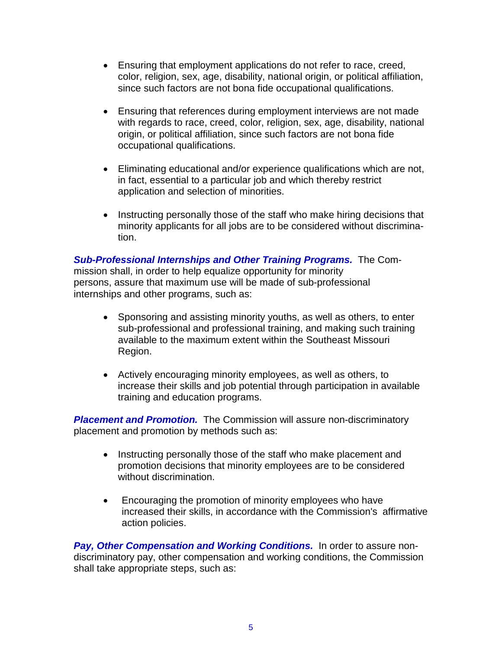- Ensuring that employment applications do not refer to race, creed, color, religion, sex, age, disability, national origin, or political affiliation, since such factors are not bona fide occupational qualifications.
- Ensuring that references during employment interviews are not made with regards to race, creed, color, religion, sex, age, disability, national origin, or political affiliation, since such factors are not bona fide occupational qualifications.
- Eliminating educational and/or experience qualifications which are not, in fact, essential to a particular job and which thereby restrict application and selection of minorities.
- Instructing personally those of the staff who make hiring decisions that minority applicants for all jobs are to be considered without discrimination.

*Sub-Professional Internships and Other Training Programs.* The Commission shall, in order to help equalize opportunity for minority persons, assure that maximum use will be made of sub-professional internships and other programs, such as:

- Sponsoring and assisting minority youths, as well as others, to enter sub-professional and professional training, and making such training available to the maximum extent within the Southeast Missouri Region.
- Actively encouraging minority employees, as well as others, to increase their skills and job potential through participation in available training and education programs.

**Placement and Promotion.** The Commission will assure non-discriminatory placement and promotion by methods such as:

- Instructing personally those of the staff who make placement and promotion decisions that minority employees are to be considered without discrimination.
- Encouraging the promotion of minority employees who have increased their skills, in accordance with the Commission's affirmative action policies.

*Pay, Other Compensation and Working Conditions.* In order to assure nondiscriminatory pay, other compensation and working conditions, the Commission shall take appropriate steps, such as: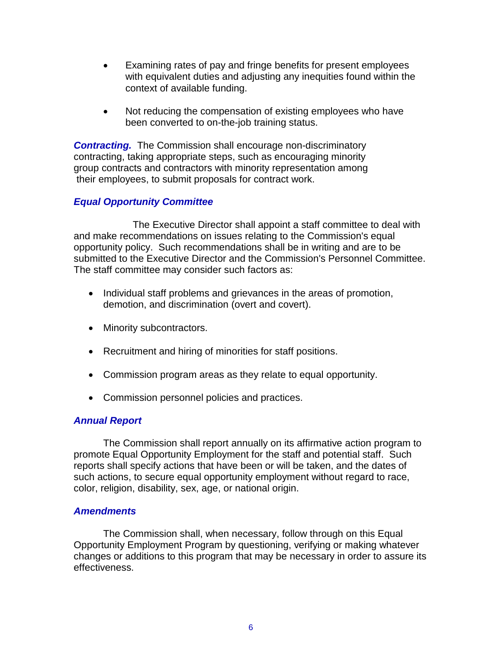- Examining rates of pay and fringe benefits for present employees with equivalent duties and adjusting any inequities found within the context of available funding.
- Not reducing the compensation of existing employees who have been converted to on-the-job training status.

*Contracting.* The Commission shall encourage non-discriminatory contracting, taking appropriate steps, such as encouraging minority group contracts and contractors with minority representation among their employees, to submit proposals for contract work.

#### *Equal Opportunity Committee*

The Executive Director shall appoint a staff committee to deal with and make recommendations on issues relating to the Commission's equal opportunity policy. Such recommendations shall be in writing and are to be submitted to the Executive Director and the Commission's Personnel Committee. The staff committee may consider such factors as:

- Individual staff problems and grievances in the areas of promotion, demotion, and discrimination (overt and covert).
- Minority subcontractors.
- Recruitment and hiring of minorities for staff positions.
- Commission program areas as they relate to equal opportunity.
- Commission personnel policies and practices.

#### *Annual Report*

The Commission shall report annually on its affirmative action program to promote Equal Opportunity Employment for the staff and potential staff. Such reports shall specify actions that have been or will be taken, and the dates of such actions, to secure equal opportunity employment without regard to race, color, religion, disability, sex, age, or national origin.

#### *Amendments*

The Commission shall, when necessary, follow through on this Equal Opportunity Employment Program by questioning, verifying or making whatever changes or additions to this program that may be necessary in order to assure its effectiveness.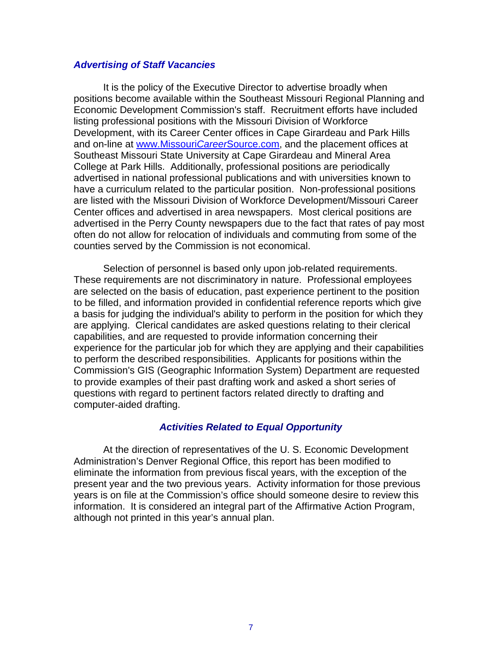#### *Advertising of Staff Vacancies*

It is the policy of the Executive Director to advertise broadly when positions become available within the Southeast Missouri Regional Planning and Economic Development Commission's staff. Recruitment efforts have included listing professional positions with the Missouri Division of Workforce Development, with its Career Center offices in Cape Girardeau and Park Hills and on-line at [www.Missouri](http://www.missouricareersource.com/)*Career*Source.com, and the placement offices at Southeast Missouri State University at Cape Girardeau and Mineral Area College at Park Hills. Additionally, professional positions are periodically advertised in national professional publications and with universities known to have a curriculum related to the particular position. Non-professional positions are listed with the Missouri Division of Workforce Development/Missouri Career Center offices and advertised in area newspapers. Most clerical positions are advertised in the Perry County newspapers due to the fact that rates of pay most often do not allow for relocation of individuals and commuting from some of the counties served by the Commission is not economical.

Selection of personnel is based only upon job-related requirements. These requirements are not discriminatory in nature. Professional employees are selected on the basis of education, past experience pertinent to the position to be filled, and information provided in confidential reference reports which give a basis for judging the individual's ability to perform in the position for which they are applying. Clerical candidates are asked questions relating to their clerical capabilities, and are requested to provide information concerning their experience for the particular job for which they are applying and their capabilities to perform the described responsibilities. Applicants for positions within the Commission's GIS (Geographic Information System) Department are requested to provide examples of their past drafting work and asked a short series of questions with regard to pertinent factors related directly to drafting and computer-aided drafting.

#### *Activities Related to Equal Opportunity*

At the direction of representatives of the U. S. Economic Development Administration's Denver Regional Office, this report has been modified to eliminate the information from previous fiscal years, with the exception of the present year and the two previous years. Activity information for those previous years is on file at the Commission's office should someone desire to review this information. It is considered an integral part of the Affirmative Action Program, although not printed in this year's annual plan.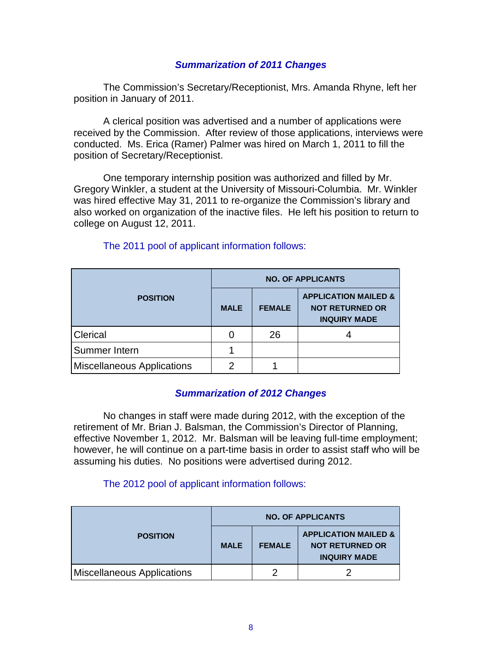#### *Summarization of 2011 Changes*

The Commission's Secretary/Receptionist, Mrs. Amanda Rhyne, left her position in January of 2011.

A clerical position was advertised and a number of applications were received by the Commission. After review of those applications, interviews were conducted. Ms. Erica (Ramer) Palmer was hired on March 1, 2011 to fill the position of Secretary/Receptionist.

One temporary internship position was authorized and filled by Mr. Gregory Winkler, a student at the University of Missouri-Columbia. Mr. Winkler was hired effective May 31, 2011 to re-organize the Commission's library and also worked on organization of the inactive files. He left his position to return to college on August 12, 2011.

|                                   | <b>NO. OF APPLICANTS</b> |               |                                                                                  |  |
|-----------------------------------|--------------------------|---------------|----------------------------------------------------------------------------------|--|
| <b>POSITION</b>                   | <b>MALE</b>              | <b>FEMALE</b> | <b>APPLICATION MAILED &amp;</b><br><b>NOT RETURNED OR</b><br><b>INQUIRY MADE</b> |  |
| Clerical                          |                          | 26            |                                                                                  |  |
| Summer Intern                     |                          |               |                                                                                  |  |
| <b>Miscellaneous Applications</b> | 2                        |               |                                                                                  |  |

#### The 2011 pool of applicant information follows:

#### *Summarization of 2012 Changes*

No changes in staff were made during 2012, with the exception of the retirement of Mr. Brian J. Balsman, the Commission's Director of Planning, effective November 1, 2012. Mr. Balsman will be leaving full-time employment; however, he will continue on a part-time basis in order to assist staff who will be assuming his duties. No positions were advertised during 2012.

#### The 2012 pool of applicant information follows:

|                                   | <b>NO. OF APPLICANTS</b> |               |                                                                                  |  |
|-----------------------------------|--------------------------|---------------|----------------------------------------------------------------------------------|--|
| <b>POSITION</b>                   | <b>MALE</b>              | <b>FEMALE</b> | <b>APPLICATION MAILED &amp;</b><br><b>NOT RETURNED OR</b><br><b>INQUIRY MADE</b> |  |
| <b>Miscellaneous Applications</b> |                          |               |                                                                                  |  |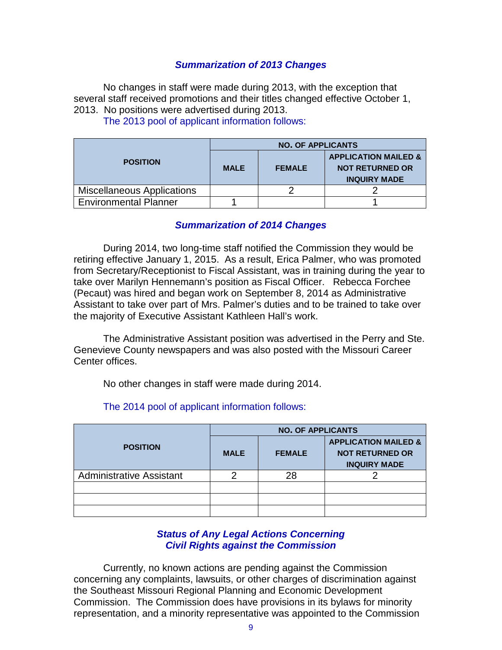#### *Summarization of 2013 Changes*

No changes in staff were made during 2013, with the exception that several staff received promotions and their titles changed effective October 1, 2013. No positions were advertised during 2013.

|                                   | <b>NO. OF APPLICANTS</b> |               |                                 |  |
|-----------------------------------|--------------------------|---------------|---------------------------------|--|
| <b>POSITION</b>                   |                          |               | <b>APPLICATION MAILED &amp;</b> |  |
|                                   | <b>MALE</b>              | <b>FEMALE</b> | <b>NOT RETURNED OR</b>          |  |
|                                   |                          |               | <b>INQUIRY MADE</b>             |  |
| <b>Miscellaneous Applications</b> |                          |               |                                 |  |
| <b>Environmental Planner</b>      |                          |               |                                 |  |

The 2013 pool of applicant information follows:

#### *Summarization of 2014 Changes*

During 2014, two long-time staff notified the Commission they would be retiring effective January 1, 2015. As a result, Erica Palmer, who was promoted from Secretary/Receptionist to Fiscal Assistant, was in training during the year to take over Marilyn Hennemann's position as Fiscal Officer. Rebecca Forchee (Pecaut) was hired and began work on September 8, 2014 as Administrative Assistant to take over part of Mrs. Palmer's duties and to be trained to take over the majority of Executive Assistant Kathleen Hall's work.

The Administrative Assistant position was advertised in the Perry and Ste. Genevieve County newspapers and was also posted with the Missouri Career Center offices.

No other changes in staff were made during 2014.

|                                 | <b>NO. OF APPLICANTS</b> |               |                                               |  |
|---------------------------------|--------------------------|---------------|-----------------------------------------------|--|
| <b>POSITION</b>                 |                          |               | <b>APPLICATION MAILED &amp;</b>               |  |
|                                 | <b>MALE</b>              | <b>FEMALE</b> | <b>NOT RETURNED OR</b><br><b>INQUIRY MADE</b> |  |
|                                 |                          |               |                                               |  |
| <b>Administrative Assistant</b> | ⌒                        | 28            |                                               |  |
|                                 |                          |               |                                               |  |
|                                 |                          |               |                                               |  |
|                                 |                          |               |                                               |  |

#### The 2014 pool of applicant information follows:

#### *Status of Any Legal Actions Concerning Civil Rights against the Commission*

Currently, no known actions are pending against the Commission concerning any complaints, lawsuits, or other charges of discrimination against the Southeast Missouri Regional Planning and Economic Development Commission. The Commission does have provisions in its bylaws for minority representation, and a minority representative was appointed to the Commission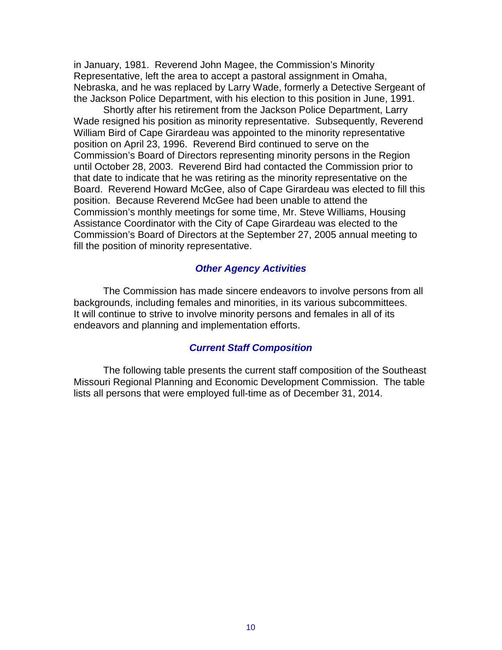in January, 1981. Reverend John Magee, the Commission's Minority Representative, left the area to accept a pastoral assignment in Omaha, Nebraska, and he was replaced by Larry Wade, formerly a Detective Sergeant of the Jackson Police Department, with his election to this position in June, 1991.

Shortly after his retirement from the Jackson Police Department, Larry Wade resigned his position as minority representative. Subsequently, Reverend William Bird of Cape Girardeau was appointed to the minority representative position on April 23, 1996. Reverend Bird continued to serve on the Commission's Board of Directors representing minority persons in the Region until October 28, 2003. Reverend Bird had contacted the Commission prior to that date to indicate that he was retiring as the minority representative on the Board. Reverend Howard McGee, also of Cape Girardeau was elected to fill this position. Because Reverend McGee had been unable to attend the Commission's monthly meetings for some time, Mr. Steve Williams, Housing Assistance Coordinator with the City of Cape Girardeau was elected to the Commission's Board of Directors at the September 27, 2005 annual meeting to fill the position of minority representative.

#### *Other Agency Activities*

The Commission has made sincere endeavors to involve persons from all backgrounds, including females and minorities, in its various subcommittees. It will continue to strive to involve minority persons and females in all of its endeavors and planning and implementation efforts.

#### *Current Staff Composition*

The following table presents the current staff composition of the Southeast Missouri Regional Planning and Economic Development Commission. The table lists all persons that were employed full-time as of December 31, 2014.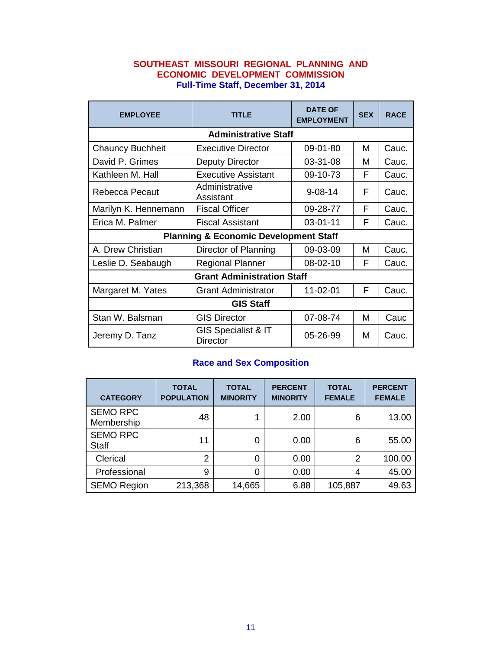#### **SOUTHEAST MISSOURI REGIONAL PLANNING AND ECONOMIC DEVELOPMENT COMMISSION Full-Time Staff, December 31, 2014**

| <b>EMPLOYEE</b>                                  | <b>TITLE</b>                               | <b>DATE OF</b><br><b>EMPLOYMENT</b> | <b>SEX</b> | <b>RACE</b> |  |  |  |
|--------------------------------------------------|--------------------------------------------|-------------------------------------|------------|-------------|--|--|--|
| <b>Administrative Staff</b>                      |                                            |                                     |            |             |  |  |  |
| <b>Chauncy Buchheit</b>                          | <b>Executive Director</b>                  | 09-01-80                            | м          | Cauc.       |  |  |  |
| David P. Grimes                                  | Deputy Director                            | 03-31-08                            | м          | Cauc.       |  |  |  |
| Kathleen M. Hall                                 | <b>Executive Assistant</b>                 | 09-10-73                            | F          | Cauc.       |  |  |  |
| Rebecca Pecaut                                   | Administrative<br>Assistant                | $9 - 08 - 14$                       |            | Cauc.       |  |  |  |
| Marilyn K. Hennemann                             | <b>Fiscal Officer</b>                      | 09-28-77                            | F          | Cauc.       |  |  |  |
| Erica M. Palmer                                  | <b>Fiscal Assistant</b>                    | $03 - 01 - 11$                      | F          | Cauc.       |  |  |  |
| <b>Planning &amp; Economic Development Staff</b> |                                            |                                     |            |             |  |  |  |
| A. Drew Christian                                | Director of Planning                       | 09-03-09                            | м          | Cauc.       |  |  |  |
| Leslie D. Seabaugh                               | <b>Regional Planner</b>                    | 08-02-10                            | F          | Cauc.       |  |  |  |
| <b>Grant Administration Staff</b>                |                                            |                                     |            |             |  |  |  |
| Margaret M. Yates                                | <b>Grant Administrator</b>                 | 11-02-01                            | F          | Cauc.       |  |  |  |
| <b>GIS Staff</b>                                 |                                            |                                     |            |             |  |  |  |
| Stan W. Balsman                                  | <b>GIS Director</b>                        | 07-08-74                            | м          | Cauc        |  |  |  |
| Jeremy D. Tanz                                   | <b>GIS Specialist &amp; IT</b><br>Director | 05-26-99                            | м          | Cauc.       |  |  |  |

#### **Race and Sex Composition**

| <b>CATEGORY</b>                 | <b>TOTAL</b><br><b>POPULATION</b> | <b>TOTAL</b><br><b>MINORITY</b> | <b>PERCENT</b><br><b>MINORITY</b> | <b>TOTAL</b><br><b>FEMALE</b> | <b>PERCENT</b><br><b>FEMALE</b> |
|---------------------------------|-----------------------------------|---------------------------------|-----------------------------------|-------------------------------|---------------------------------|
| <b>SEMO RPC</b><br>Membership   | 48                                |                                 | 2.00                              | 6                             | 13.00                           |
| <b>SEMO RPC</b><br><b>Staff</b> | 11                                | 0                               | 0.00                              | 6                             | 55.00                           |
| Clerical                        | 2                                 | 0                               | 0.00                              | 2                             | 100.00                          |
| Professional                    | 9                                 | 0                               | 0.00                              | 4                             | 45.00                           |
| <b>SEMO Region</b>              | 213,368                           | 14,665                          | 6.88                              | 105,887                       | 49.63                           |